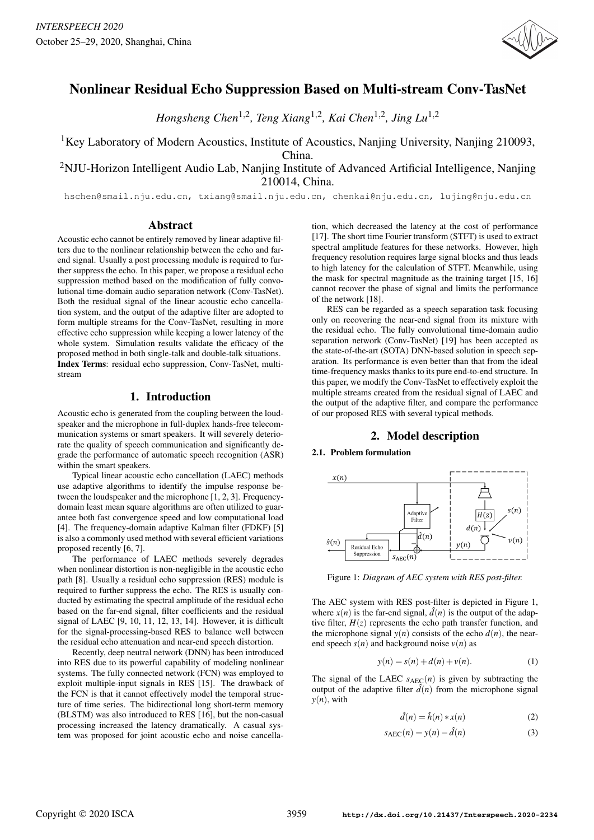

# Nonlinear Residual Echo Suppression Based on Multi-stream Conv-TasNet

*Hongsheng Chen*1,<sup>2</sup> *, Teng Xiang*1,<sup>2</sup> *, Kai Chen*1,<sup>2</sup> *, Jing Lu*1,<sup>2</sup>

<sup>1</sup>Key Laboratory of Modern Acoustics, Institute of Acoustics, Nanjing University, Nanjing 210093, China.

<sup>2</sup>NJU-Horizon Intelligent Audio Lab, Nanjing Institute of Advanced Artificial Intelligence, Nanjing 210014, China.

hschen@smail.nju.edu.cn, txiang@smail.nju.edu.cn, chenkai@nju.edu.cn, lujing@nju.edu.cn

## Abstract

Acoustic echo cannot be entirely removed by linear adaptive filters due to the nonlinear relationship between the echo and farend signal. Usually a post processing module is required to further suppress the echo. In this paper, we propose a residual echo suppression method based on the modification of fully convolutional time-domain audio separation network (Conv-TasNet). Both the residual signal of the linear acoustic echo cancellation system, and the output of the adaptive filter are adopted to form multiple streams for the Conv-TasNet, resulting in more effective echo suppression while keeping a lower latency of the whole system. Simulation results validate the efficacy of the proposed method in both single-talk and double-talk situations. Index Terms: residual echo suppression, Conv-TasNet, multistream

# 1. Introduction

Acoustic echo is generated from the coupling between the loudspeaker and the microphone in full-duplex hands-free telecommunication systems or smart speakers. It will severely deteriorate the quality of speech communication and significantly degrade the performance of automatic speech recognition (ASR) within the smart speakers.

Typical linear acoustic echo cancellation (LAEC) methods use adaptive algorithms to identify the impulse response between the loudspeaker and the microphone [1, 2, 3]. Frequencydomain least mean square algorithms are often utilized to guarantee both fast convergence speed and low computational load [4]. The frequency-domain adaptive Kalman filter (FDKF) [5] is also a commonly used method with several efficient variations proposed recently [6, 7].

The performance of LAEC methods severely degrades when nonlinear distortion is non-negligible in the acoustic echo path [8]. Usually a residual echo suppression (RES) module is required to further suppress the echo. The RES is usually conducted by estimating the spectral amplitude of the residual echo based on the far-end signal, filter coefficients and the residual signal of LAEC [9, 10, 11, 12, 13, 14]. However, it is difficult for the signal-processing-based RES to balance well between the residual echo attenuation and near-end speech distortion.

Recently, deep neutral network (DNN) has been introduced into RES due to its powerful capability of modeling nonlinear systems. The fully connected network (FCN) was employed to exploit multiple-input signals in RES [15]. The drawback of the FCN is that it cannot effectively model the temporal structure of time series. The bidirectional long short-term memory (BLSTM) was also introduced to RES [16], but the non-casual processing increased the latency dramatically. A casual system was proposed for joint acoustic echo and noise cancellation, which decreased the latency at the cost of performance [17]. The short time Fourier transform (STFT) is used to extract spectral amplitude features for these networks. However, high frequency resolution requires large signal blocks and thus leads to high latency for the calculation of STFT. Meanwhile, using the mask for spectral magnitude as the training target [15, 16] cannot recover the phase of signal and limits the performance of the network [18].

RES can be regarded as a speech separation task focusing only on recovering the near-end signal from its mixture with the residual echo. The fully convolutional time-domain audio separation network (Conv-TasNet) [19] has been accepted as the state-of-the-art (SOTA) DNN-based solution in speech separation. Its performance is even better than that from the ideal time-frequency masks thanks to its pure end-to-end structure. In this paper, we modify the Conv-TasNet to effectively exploit the multiple streams created from the residual signal of LAEC and the output of the adaptive filter, and compare the performance of our proposed RES with several typical methods.

# 2. Model description

## 2.1. Problem formulation



Figure 1: *Diagram of AEC system with RES post-filter.*

The AEC system with RES post-filter is depicted in Figure 1, where  $x(n)$  is the far-end signal,  $\hat{d}(n)$  is the output of the adaptive filter,  $H(z)$  represents the echo path transfer function, and the microphone signal  $y(n)$  consists of the echo  $d(n)$ , the nearend speech  $s(n)$  and background noise  $v(n)$  as

$$
y(n) = s(n) + d(n) + v(n).
$$
 (1)

The signal of the LAEC  $s_{AEC}(n)$  is given by subtracting the output of the adaptive filter  $\hat{d}(n)$  from the microphone signal  $y(n)$ , with

$$
\hat{d}(n) = \hat{h}(n) * x(n) \tag{2}
$$

$$
s_{AEC}(n) = y(n) - \hat{d}(n)
$$
 (3)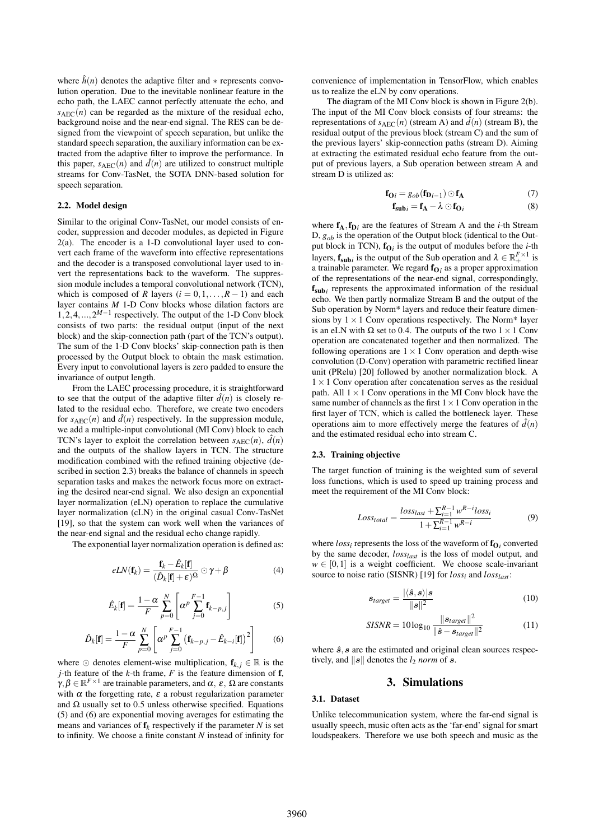where  $\hat{h}(n)$  denotes the adaptive filter and  $*$  represents convolution operation. Due to the inevitable nonlinear feature in the echo path, the LAEC cannot perfectly attenuate the echo, and  $s_{AEC}(n)$  can be regarded as the mixture of the residual echo, background noise and the near-end signal. The RES can be designed from the viewpoint of speech separation, but unlike the standard speech separation, the auxiliary information can be extracted from the adaptive filter to improve the performance. In this paper,  $s_{AEC}(n)$  and  $\tilde{d}(n)$  are utilized to construct multiple streams for Conv-TasNet, the SOTA DNN-based solution for speech separation.

#### 2.2. Model design

Similar to the original Conv-TasNet, our model consists of encoder, suppression and decoder modules, as depicted in Figure 2(a). The encoder is a 1-D convolutional layer used to convert each frame of the waveform into effective representations and the decoder is a transposed convolutional layer used to invert the representations back to the waveform. The suppression module includes a temporal convolutional network (TCN), which is composed of *R* layers ( $i = 0, 1, \ldots, R - 1$ ) and each layer contains *M* 1-D Conv blocks whose dilation factors are  $1, 2, 4, \ldots, 2^{M-1}$  respectively. The output of the 1-D Conv block consists of two parts: the residual output (input of the next block) and the skip-connection path (part of the TCN's output). The sum of the 1-D Conv blocks' skip-connection path is then processed by the Output block to obtain the mask estimation. Every input to convolutional layers is zero padded to ensure the invariance of output length.

From the LAEC processing procedure, it is straightforward to see that the output of the adaptive filter  $\hat{d}(n)$  is closely related to the residual echo. Therefore, we create two encoders for  $s_{AEC}(n)$  and  $\hat{d}(n)$  respectively. In the suppression module, we add a multiple-input convolutional (MI Conv) block to each TCN's layer to exploit the correlation between  $s_{AEC}(n)$ ,  $\hat{d}(n)$ and the outputs of the shallow layers in TCN. The structure modification combined with the refined training objective (described in section 2.3) breaks the balance of channels in speech separation tasks and makes the network focus more on extracting the desired near-end signal. We also design an exponential layer normalization (eLN) operation to replace the cumulative layer normalization (cLN) in the original casual Conv-TasNet [19], so that the system can work well when the variances of the near-end signal and the residual echo change rapidly.

The exponential layer normalization operation is defined as:

$$
eLN(\mathbf{f}_k) = \frac{\mathbf{f}_k - \hat{E}_k[\mathbf{f}]}{(\hat{D}_k[\mathbf{f}] + \varepsilon)^{\Omega}} \odot \gamma + \beta
$$
 (4)

$$
\hat{E}_k[\mathbf{f}] = \frac{1-\alpha}{F} \sum_{p=0}^{N} \left[ \alpha^p \sum_{j=0}^{F-1} \mathbf{f}_{k-p,j} \right]
$$
 (5)

$$
\hat{D}_k[\mathbf{f}] = \frac{1-\alpha}{F} \sum_{p=0}^N \left[ \alpha^p \sum_{j=0}^{F-1} \left( \mathbf{f}_{k-p,j} - \hat{E}_{k-i}[\mathbf{f}] \right)^2 \right]
$$
(6)

where  $\odot$  denotes element-wise multiplication,  $f_{k,i} \in \mathbb{R}$  is the *j*-th feature of the *k*-th frame, *F* is the feature dimension of f,  $\gamma, \beta \in \mathbb{R}^{F \times 1}$  are trainable parameters, and  $\alpha$ ,  $\varepsilon$ ,  $\Omega$  are constants with  $\alpha$  the forgetting rate,  $\varepsilon$  a robust regularization parameter and  $\Omega$  usually set to 0.5 unless otherwise specified. Equations (5) and (6) are exponential moving averages for estimating the means and variances of  $f_k$  respectively if the parameter *N* is set to infinity. We choose a finite constant *N* instead of infinity for convenience of implementation in TensorFlow, which enables us to realize the eLN by conv operations.

The diagram of the MI Conv block is shown in Figure 2(b). The input of the MI Conv block consists of four streams: the representations of  $s_{AEC}(n)$  (stream A) and  $\hat{d}(n)$  (stream B), the residual output of the previous block (stream C) and the sum of the previous layers' skip-connection paths (stream D). Aiming at extracting the estimated residual echo feature from the output of previous layers, a Sub operation between stream A and stream D is utilized as:

$$
\mathbf{f}_{\mathbf{O}i} = g_{ob}(\mathbf{f}_{\mathbf{D}i-1}) \odot \mathbf{f}_{\mathbf{A}}
$$
\n
$$
\mathbf{f}_{\mathbf{sub}i} = \mathbf{f}_{\mathbf{A}} - \lambda \odot \mathbf{f}_{\mathbf{O}i}
$$
\n(3)

where  $f_A, f_{D}$ *i* are the features of Stream A and the *i*-th Stream D, *gob* is the operation of the Output block (identical to the Output block in TCN),  $f_{\text{O}i}$  is the output of modules before the *i*-th layers,  $\mathbf{f}_{\textbf{sub}}$  is the output of the Sub operation and  $\lambda \in \mathbb{R}_+^{F \times 1}$  is a trainable parameter. We regard  $f_{O_i}$  as a proper approximation of the representations of the near-end signal, correspondingly, fsub*<sup>i</sup>* represents the approximated information of the residual echo. We then partly normalize Stream B and the output of the Sub operation by Norm\* layers and reduce their feature dimensions by  $1 \times 1$  Conv operations respectively. The Norm\* layer is an eLN with  $\Omega$  set to 0.4. The outputs of the two  $1 \times 1$  Conv operation are concatenated together and then normalized. The following operations are  $1 \times 1$  Conv operation and depth-wise convolution (D-Conv) operation with parametric rectified linear unit (PRelu) [20] followed by another normalization block. A  $1 \times 1$  Conv operation after concatenation serves as the residual path. All  $1 \times 1$  Conv operations in the MI Conv block have the same number of channels as the first  $1 \times 1$  Conv operation in the first layer of TCN, which is called the bottleneck layer. These operations aim to more effectively merge the features of  $\hat{d}(n)$ and the estimated residual echo into stream C.

#### 2.3. Training objective

The target function of training is the weighted sum of several loss functions, which is used to speed up training process and meet the requirement of the MI Conv block:

$$
Loss_{total} = \frac{loss_{last} + \sum_{i=1}^{R-1} w^{R-i} loss_i}{1 + \sum_{i=1}^{R-1} w^{R-i}}
$$
(9)

where  $loss_i$  represents the loss of the waveform of  $f_{O_i}$  converted by the same decoder, *losslast* is the loss of model output, and  $w \in [0,1]$  is a weight coefficient. We choose scale-invariant source to noise ratio (SISNR) [19] for *loss<sup>i</sup>* and *losslast* :

$$
s_{target} = \frac{|\langle \hat{s}, s \rangle| s}{\| s \|^2} \tag{10}
$$

$$
SISNR = 10\log_{10}\frac{\|\mathbf{s}_{target}\|^2}{\|\hat{\mathbf{s}} - \mathbf{s}_{target}\|^2}
$$
(11)

where  $\hat{s}$ ,  $s$  are the estimated and original clean sources respectively, and  $\|\mathbf{s}\|$  denotes the  $l_2$  *norm* of s.

### 3. Simulations

## 3.1. Dataset

Unlike telecommunication system, where the far-end signal is usually speech, music often acts as the 'far-end' signal for smart loudspeakers. Therefore we use both speech and music as the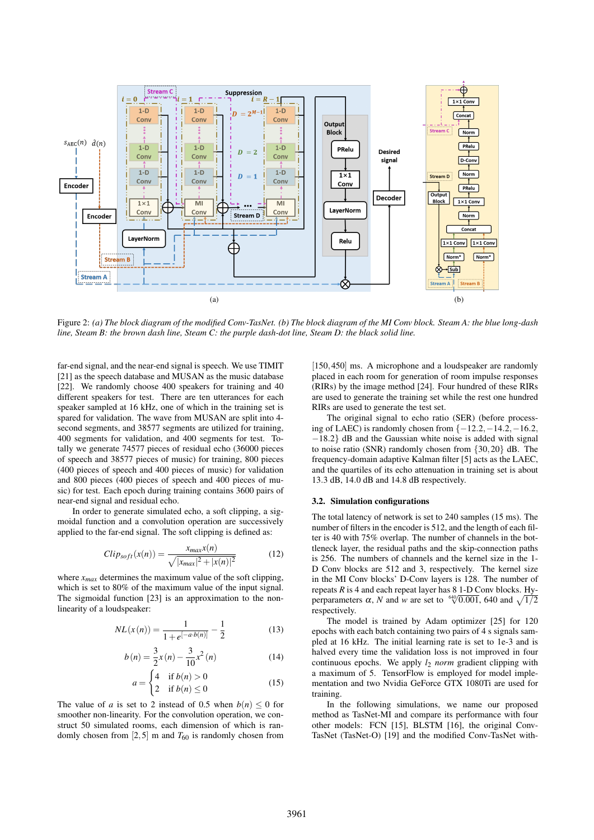

Figure 2: *(a) The block diagram of the modified Conv-TasNet. (b) The block diagram of the MI Conv block. Steam A: the blue long-dash line, Steam B: the brown dash line, Steam C: the purple dash-dot line, Steam D: the black solid line.*

far-end signal, and the near-end signal is speech. We use TIMIT [21] as the speech database and MUSAN as the music database [22]. We randomly choose 400 speakers for training and 40 different speakers for test. There are ten utterances for each speaker sampled at 16 kHz, one of which in the training set is spared for validation. The wave from MUSAN are split into 4 second segments, and 38577 segments are utilized for training, 400 segments for validation, and 400 segments for test. Totally we generate 74577 pieces of residual echo (36000 pieces of speech and 38577 pieces of music) for training, 800 pieces (400 pieces of speech and 400 pieces of music) for validation and 800 pieces (400 pieces of speech and 400 pieces of music) for test. Each epoch during training contains 3600 pairs of near-end signal and residual echo.

In order to generate simulated echo, a soft clipping, a sigmoidal function and a convolution operation are successively applied to the far-end signal. The soft clipping is defined as:

$$
Clip_{soft}(x(n)) = \frac{x_{max}x(n)}{\sqrt{|x_{max}|^2 + |x(n)|^2}}
$$
(12)

where *xmax* determines the maximum value of the soft clipping, which is set to 80% of the maximum value of the input signal. The sigmoidal function [23] is an approximation to the nonlinearity of a loudspeaker:

$$
NL(x(n)) = \frac{1}{1 + e^{[-a \cdot b(n)]}} - \frac{1}{2}
$$
 (13)

$$
b(n) = \frac{3}{2}x(n) - \frac{3}{10}x^2(n)
$$
 (14)

$$
a = \begin{cases} 4 & \text{if } b(n) > 0 \\ 2 & \text{if } b(n) \le 0 \end{cases}
$$
 (15)

The value of *a* is set to 2 instead of 0.5 when  $b(n) \leq 0$  for smoother non-linearity. For the convolution operation, we construct 50 simulated rooms, each dimension of which is randomly chosen from [2,5] m and  $T_{60}$  is randomly chosen from

[150,450] ms. A microphone and a loudspeaker are randomly placed in each room for generation of room impulse responses (RIRs) by the image method [24]. Four hundred of these RIRs are used to generate the training set while the rest one hundred RIRs are used to generate the test set.

The original signal to echo ratio (SER) (before processing of LAEC) is randomly chosen from  $\{-12.2, -14.2, -16.2,$ −18.2} dB and the Gaussian white noise is added with signal to noise ratio (SNR) randomly chosen from {30,20} dB. The frequency-domain adaptive Kalman filter [5] acts as the LAEC, and the quartiles of its echo attenuation in training set is about 13.3 dB, 14.0 dB and 14.8 dB respectively.

#### 3.2. Simulation configurations

The total latency of network is set to 240 samples (15 ms). The number of filters in the encoder is 512, and the length of each filter is 40 with 75% overlap. The number of channels in the bottleneck layer, the residual paths and the skip-connection paths is 256. The numbers of channels and the kernel size in the 1- D Conv blocks are 512 and 3, respectively. The kernel size in the MI Conv blocks' D-Conv layers is 128. The number of repeats *R* is 4 and each repeat layer has 8 1-D Conv blocks. Hyrepeats *K* is 4 and each repeat layer has 8 1-D Conv blocks. Hy-<br>perparameters *α*, *N* and *w* are set to  $\frac{640}{0.001}$ , 640 and  $\sqrt{1/2}$ respectively.

The model is trained by Adam optimizer [25] for 120 epochs with each batch containing two pairs of 4 s signals sampled at 16 kHz. The initial learning rate is set to 1e-3 and is halved every time the validation loss is not improved in four continuous epochs. We apply *l*<sup>2</sup> *norm* gradient clipping with a maximum of 5. TensorFlow is employed for model implementation and two Nvidia GeForce GTX 1080Ti are used for training.

In the following simulations, we name our proposed method as TasNet-MI and compare its performance with four other models: FCN [15], BLSTM [16], the original Conv-TasNet (TasNet-O) [19] and the modified Conv-TasNet with-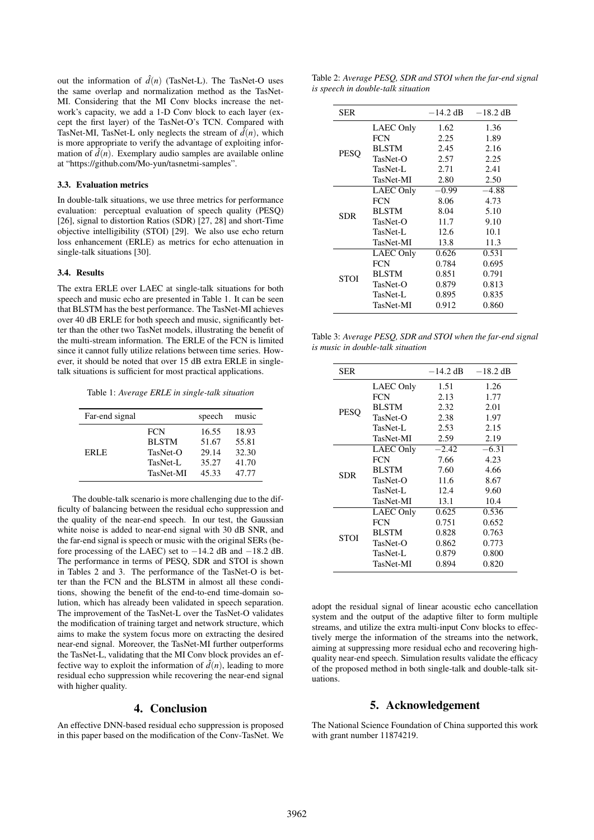out the information of  $\hat{d}(n)$  (TasNet-L). The TasNet-O uses the same overlap and normalization method as the TasNet-MI. Considering that the MI Conv blocks increase the network's capacity, we add a 1-D Conv block to each layer (except the first layer) of the TasNet-O's TCN. Compared with TasNet-MI, TasNet-L only neglects the stream of  $\hat{d}(n)$ , which is more appropriate to verify the advantage of exploiting information of  $\hat{d}(n)$ . Exemplary audio samples are available online at "https://github.com/Mo-yun/tasnetmi-samples".

## 3.3. Evaluation metrics

In double-talk situations, we use three metrics for performance evaluation: perceptual evaluation of speech quality (PESQ) [26], signal to distortion Ratios (SDR) [27, 28] and short-Time objective intelligibility (STOI) [29]. We also use echo return loss enhancement (ERLE) as metrics for echo attenuation in single-talk situations [30].

#### 3.4. Results

The extra ERLE over LAEC at single-talk situations for both speech and music echo are presented in Table 1. It can be seen that BLSTM has the best performance. The TasNet-MI achieves over 40 dB ERLE for both speech and music, significantly better than the other two TasNet models, illustrating the benefit of the multi-stream information. The ERLE of the FCN is limited since it cannot fully utilize relations between time series. However, it should be noted that over 15 dB extra ERLE in singletalk situations is sufficient for most practical applications.

Table 1: *Average ERLE in single-talk situation*

| Far-end signal |                  | speech | music |
|----------------|------------------|--------|-------|
| ERLE.          | <b>FCN</b>       | 16.55  | 18.93 |
|                | <b>BLSTM</b>     | 51.67  | 55.81 |
|                | $Tasket-O$       | 29.14  | 32.30 |
|                | TasNet-L         | 35.27  | 41.70 |
|                | <b>TasNet-MI</b> | 45.33  | 47.77 |

The double-talk scenario is more challenging due to the difficulty of balancing between the residual echo suppression and the quality of the near-end speech. In our test, the Gaussian white noise is added to near-end signal with 30 dB SNR, and the far-end signal is speech or music with the original SERs (before processing of the LAEC) set to −14.2 dB and −18.2 dB. The performance in terms of PESQ, SDR and STOI is shown in Tables 2 and 3. The performance of the TasNet-O is better than the FCN and the BLSTM in almost all these conditions, showing the benefit of the end-to-end time-domain solution, which has already been validated in speech separation. The improvement of the TasNet-L over the TasNet-O validates the modification of training target and network structure, which aims to make the system focus more on extracting the desired near-end signal. Moreover, the TasNet-MI further outperforms the TasNet-L, validating that the MI Conv block provides an effective way to exploit the information of  $d(n)$ , leading to more residual echo suppression while recovering the near-end signal with higher quality.

# 4. Conclusion

An effective DNN-based residual echo suppression is proposed in this paper based on the modification of the Conv-TasNet. We

Table 2: *Average PESQ, SDR and STOI when the far-end signal is speech in double-talk situation*

| <b>SER</b>  |                  | $-14.2$ dB | $-18.2$ dB |
|-------------|------------------|------------|------------|
| <b>PESO</b> | LAEC Only        | 1.62       | 1.36       |
|             | <b>FCN</b>       | 2.25       | 1.89       |
|             | <b>BLSTM</b>     | 2.45       | 2.16       |
|             | $Tasket-O$       | 2.57       | 2.25       |
|             | TasNet-L         | 2.71       | 2.41       |
|             | TasNet-MI        | 2.80       | 2.50       |
| <b>SDR</b>  | <b>LAEC Only</b> | $-0.99$    | $-4.88$    |
|             | <b>FCN</b>       | 8.06       | 4.73       |
|             | <b>BLSTM</b>     | 8.04       | 5.10       |
|             | $Tasket-O$       | 11.7       | 9.10       |
|             | TasNet-L         | 12.6       | 10.1       |
|             | TasNet-MI        | 13.8       | 11.3       |
| <b>STOI</b> | LAEC Only        | 0.626      | 0.531      |
|             | <b>FCN</b>       | 0.784      | 0.695      |
|             | <b>BLSTM</b>     | 0.851      | 0.791      |
|             | TasNet-O         | 0.879      | 0.813      |
|             | TasNet-L         | 0.895      | 0.835      |
|             | TasNet-MI        | 0.912      | 0.860      |

Table 3: *Average PESQ, SDR and STOI when the far-end signal is music in double-talk situation*

| <b>SER</b>  |                  | $-14.2$ dB | $-18.2$ dB |
|-------------|------------------|------------|------------|
| <b>PESO</b> | LAEC Only        | 1.51       | 1.26       |
|             | <b>FCN</b>       | 2.13       | 1.77       |
|             | <b>BLSTM</b>     | 2.32       | 2.01       |
|             | $Tasket-O$       | 2.38       | 1.97       |
|             | TasNet-L         | 2.53       | 2.15       |
|             | <b>TasNet-MI</b> | 2.59       | 2.19       |
| <b>SDR</b>  | LAEC Only        | $-2.42$    | $-6.31$    |
|             | <b>FCN</b>       | 7.66       | 4.23       |
|             | <b>BLSTM</b>     | 7.60       | 4.66       |
|             | $Tasket-O$       | 11.6       | 8.67       |
|             | TasNet-L         | 12.4       | 9.60       |
|             | TasNet-MI        | 13.1       | 10.4       |
| <b>STOI</b> | <b>LAEC Only</b> | 0.625      | 0.536      |
|             | <b>FCN</b>       | 0.751      | 0.652      |
|             | <b>BLSTM</b>     | 0.828      | 0.763      |
|             | $Tasket-O$       | 0.862      | 0.773      |
|             | TasNet-L         | 0.879      | 0.800      |
|             | TasNet-MI        | 0.894      | 0.820      |
|             |                  |            |            |

adopt the residual signal of linear acoustic echo cancellation system and the output of the adaptive filter to form multiple streams, and utilize the extra multi-input Conv blocks to effectively merge the information of the streams into the network, aiming at suppressing more residual echo and recovering highquality near-end speech. Simulation results validate the efficacy of the proposed method in both single-talk and double-talk situations.

# 5. Acknowledgement

The National Science Foundation of China supported this work with grant number 11874219.